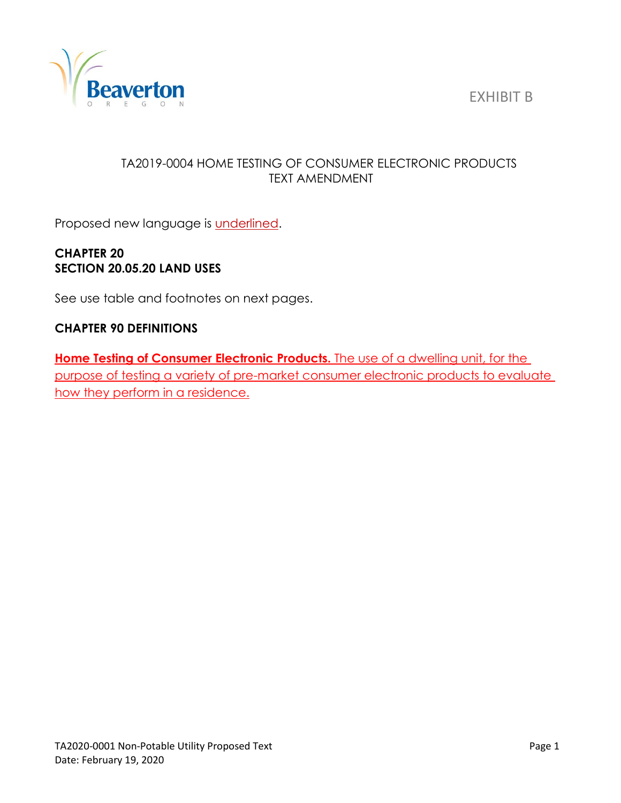EXHIBIT B



## TA2019-0004 HOME TESTING OF CONSUMER ELECTRONIC PRODUCTS TEXT AMENDMENT

Proposed new language is **underlined**.

# **CHAPTER 20 SECTION 20.05.20 LAND USES**

See use table and footnotes on next pages.

## **CHAPTER 90 DEFINITIONS**

**Home Testing of Consumer Electronic Products.** The use of a dwelling unit, for the purpose of testing a variety of pre-market consumer electronic products to evaluate how they perform in a residence.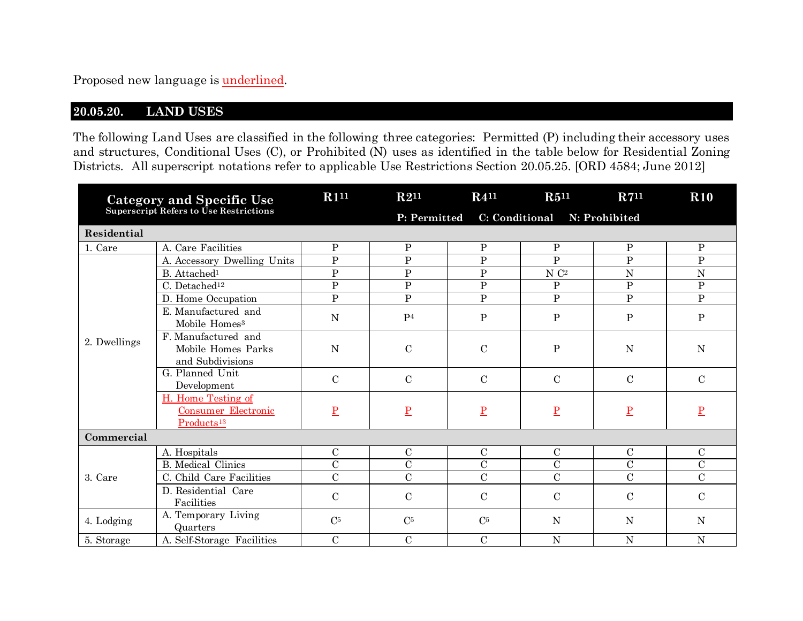Proposed new language is underlined.

## **20.05.20. LAND USES**

The following Land Uses are classified in the following three categories: Permitted (P) including their accessory uses and structures, Conditional Uses (C), or Prohibited (N) uses as identified in the table below for Residential Zoning Districts. All superscript notations refer to applicable Use Restrictions Section 20.05.25. [ORD 4584; June 2012]

| Category and Specific Use<br>Superscript Refers to Use Restrictions |                                                                            | R1 <sup>11</sup>        | $R2^{11}$       | $R4^{11}$                | $R5^{11}$         | $R7^{11}$       | <b>R10</b>     |
|---------------------------------------------------------------------|----------------------------------------------------------------------------|-------------------------|-----------------|--------------------------|-------------------|-----------------|----------------|
|                                                                     |                                                                            |                         | P: Permitted    |                          |                   |                 |                |
| Residential                                                         |                                                                            |                         |                 |                          |                   |                 |                |
| 1. Care                                                             | A. Care Facilities                                                         | $\mathbf{P}$            | $\, {\bf P}$    | $\, {\bf P}$             | $\, {\bf P}$      | $\, {\bf P}$    | $\, {\bf P}$   |
|                                                                     | A. Accessory Dwelling Units                                                | $\mathbf{P}$            | ${\bf P}$       | $\, {\bf P}$             | $\mathbf{P}$      | $\mathbf{P}$    | $\mathbf{P}$   |
|                                                                     | B. Attached <sup>1</sup>                                                   | $\mathbf{P}$            | ${\bf P}$       | ${\bf P}$                | $\rm N$ $\rm C^2$ | N               | ${\bf N}$      |
|                                                                     | C. Detached <sup>12</sup>                                                  | $\overline{P}$          | $\overline{P}$  | $\overline{P}$           | $\mathbf{P}$      | $\overline{P}$  | $\overline{P}$ |
|                                                                     | D. Home Occupation                                                         | $\overline{P}$          | $\mathbf{P}$    | $\mathbf{P}$             | $\mathbf{P}$      | $\mathbf{P}$    | $\mathbf{P}$   |
| 2. Dwellings                                                        | E. Manufactured and<br>Mobile Homes <sup>3</sup>                           | N                       | P <sub>4</sub>  | $\mathbf P$              | ${\bf P}$         | P               | $\, {\bf P}$   |
|                                                                     | F. Manufactured and<br>Mobile Homes Parks<br>and Subdivisions              | $\mathbf N$             | $\mathbf C$     | $\mathcal{C}$            | $\, {\bf P}$      | N               | $\mathbf N$    |
|                                                                     | G. Planned Unit<br>Development                                             | $\mathbf C$             | $\mathbf C$     | $\mathcal{C}$            | $\mathcal{C}$     | $\mathbf C$     | $\mathbf C$    |
|                                                                     | H. Home Testing of<br><b>Consumer Electronic</b><br>Products <sup>13</sup> | $\overline{\mathbf{P}}$ | $\underline{P}$ | $\underline{\mathbf{P}}$ | $\underline{P}$   | $\underline{P}$ | $\mathbf{P}$   |
| Commercial                                                          |                                                                            |                         |                 |                          |                   |                 |                |
| 3. Care                                                             | A. Hospitals                                                               | $\mathbf C$             | $\mathbf C$     | $\mathcal{C}$            | $\mathcal{C}$     | $\mathbf C$     | $\mathcal{C}$  |
|                                                                     | <b>B.</b> Medical Clinics                                                  | $\overline{C}$          | $\overline{C}$  | $\overline{\rm C}$       | $\mathbf C$       | $\mathcal{C}$   | $\mathcal{C}$  |
|                                                                     | C. Child Care Facilities                                                   | $\mathbf C$             | $\mathbf C$     | $\mathbf C$              | $\overline{C}$    | $\mathbf C$     | $\overline{C}$ |
|                                                                     | D. Residential Care<br>Facilities                                          | $\mathcal{C}$           | $\mathcal{C}$   | $\mathbf C$              | $\mathcal{C}$     | $\mathcal{C}$   | $\mathcal{C}$  |
| 4. Lodging                                                          | A. Temporary Living<br>Quarters                                            | $\rm C^5$               | C <sub>5</sub>  | C <sub>5</sub>           | N                 | N               | $\mathbf N$    |
| 5. Storage                                                          | A. Self-Storage Facilities                                                 | $\mathbf C$             | $\mathbf C$     | $\mathbf C$              | N                 | $\mathbf N$     | $\mathbf N$    |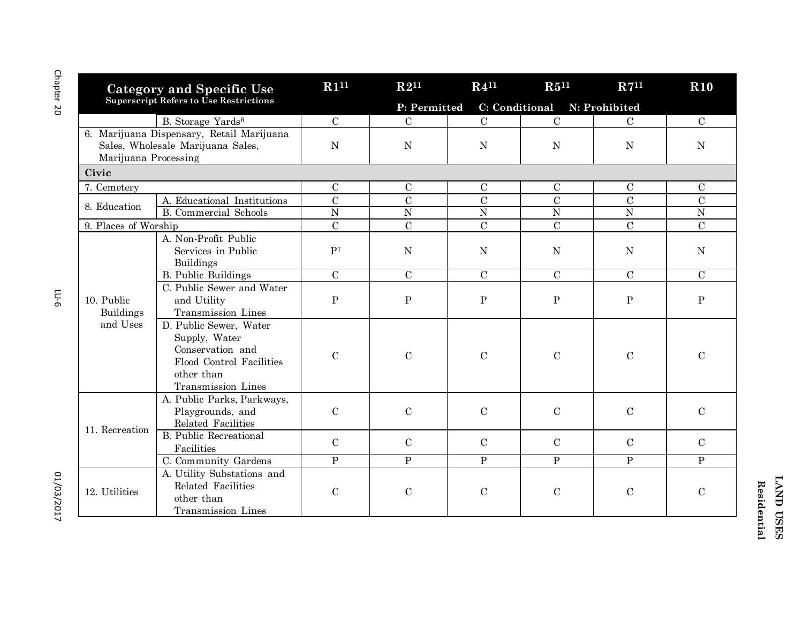| <b>Category and Specific Use</b><br>Superscript Refers to Use Restrictions                             |                                                                                                                             | R1 <sup>11</sup> | $R2^{11}$      | $R4^{11}$                    | $R5^{11}$      | R7 <sup>11</sup> | <b>R10</b>     |
|--------------------------------------------------------------------------------------------------------|-----------------------------------------------------------------------------------------------------------------------------|------------------|----------------|------------------------------|----------------|------------------|----------------|
|                                                                                                        |                                                                                                                             |                  | P: Permitted   | C: Conditional N: Prohibited |                |                  |                |
|                                                                                                        | B. Storage Yards <sup>6</sup>                                                                                               | $\mathcal{C}$    | $\mathcal{C}$  | $\mathbf C$                  | $\mathcal{C}$  | $\mathbf C$      | $\mathbf C$    |
| 6. Marijuana Dispensary, Retail Marijuana<br>Sales, Wholesale Marijuana Sales,<br>Marijuana Processing |                                                                                                                             | ${\bf N}$        | $\mathbf N$    | ${\bf N}$                    | ${\bf N}$      | N                | N              |
| Civic                                                                                                  |                                                                                                                             |                  |                |                              |                |                  |                |
| 7. Cemetery                                                                                            |                                                                                                                             | $\mathcal{C}$    | $\mathbf C$    | $\mathbf C$                  | $\mathbf C$    | $\mathbf C$      | $\mathbf C$    |
|                                                                                                        | A. Educational Institutions                                                                                                 | $\mathcal{C}$    | $\overline{C}$ | $\overline{C}$               | $\overline{C}$ | $\overline{C}$   | $\overline{C}$ |
| 8. Education                                                                                           | <b>B.</b> Commercial Schools                                                                                                | $\overline{N}$   | $\overline{N}$ | $\overline{N}$               | $\overline{N}$ | $\overline{N}$   | $\overline{N}$ |
| 9. Places of Worship                                                                                   |                                                                                                                             | $\mathbf C$      | $\mathbf C$    | $\mathbf C$                  | $\mathbf C$    | $\mathbf C$      | $\mathbf C$    |
|                                                                                                        | A. Non-Profit Public<br>Services in Public<br>Buildings                                                                     | P <sub>7</sub>   | $\mathbf N$    | $\mathbf N$                  | ${\bf N}$      | N                | N              |
|                                                                                                        | <b>B.</b> Public Buildings                                                                                                  | $\mathcal{C}$    | $\overline{C}$ | $\overline{C}$               | $\overline{C}$ | $\mathcal{C}$    | $\overline{C}$ |
| 10. Public<br><b>Buildings</b><br>and Uses                                                             | C. Public Sewer and Water<br>and Utility<br>Transmission Lines                                                              | $\mathbf P$      | ${\bf P}$      | ${\bf P}$                    | ${\bf P}$      | ${\bf P}$        | $\, {\bf P}$   |
|                                                                                                        | D. Public Sewer, Water<br>Supply, Water<br>Conservation and<br>Flood Control Facilities<br>other than<br>Transmission Lines | $\mathcal{C}$    | $\mathbf C$    | $\mathbf C$                  | $\mathbf C$    | $\mathcal{C}$    | $\mathbf C$    |
| 11. Recreation                                                                                         | A. Public Parks, Parkways,<br>Playgrounds, and<br>Related Facilities                                                        | $\mathbf C$      | $\mathbf C$    | $\mathbf C$                  | $\mathcal{C}$  | $\mathcal{C}$    | $\mathcal{C}$  |
|                                                                                                        | <b>B.</b> Public Recreational<br>Facilities                                                                                 | $\mathcal{C}$    | $\mathcal{C}$  | $\mathbf C$                  | $\mathcal{C}$  | $\mathcal{C}$    | $\mathcal{C}$  |
|                                                                                                        | C. Community Gardens                                                                                                        | $\overline{P}$   | $\mathbf{P}$   | $\overline{P}$               | $\overline{P}$ | $\mathbf{P}$     | $\mathbf{P}$   |
| 12. Utilities                                                                                          | A. Utility Substations and<br>Related Facilities<br>other than<br>Transmission Lines                                        | $\mathbf C$      | $\mathbf C$    | $\mathbf C$                  | $\mathbf C$    | $\mathcal{C}$    | $\mathbf C$    |

Chapter 20 Chapter 20

LU-6

01/03/2017 01/03/2017

**LAND USES** Residential **LAND USES Residential**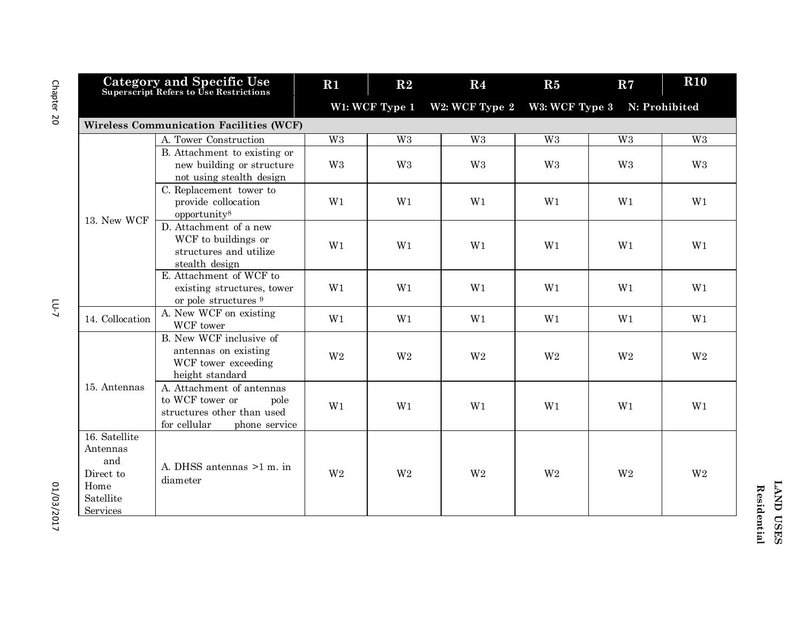| <b>Category and Specific Use</b><br>Superscript Refers to Use Restrictions     |                                                                                                                     | $R1$                                                                | R <sub>2</sub>  | R <sub>4</sub> | R5             | R7             | R10            |  |
|--------------------------------------------------------------------------------|---------------------------------------------------------------------------------------------------------------------|---------------------------------------------------------------------|-----------------|----------------|----------------|----------------|----------------|--|
|                                                                                |                                                                                                                     | W1: WCF Type 1<br>W2: WCF Type 2<br>W3: WCF Type 3<br>N: Prohibited |                 |                |                |                |                |  |
|                                                                                | <b>Wireless Communication Facilities (WCF)</b>                                                                      |                                                                     |                 |                |                |                |                |  |
|                                                                                | A. Tower Construction                                                                                               | $W_3$                                                               | $\overline{W3}$ | W <sub>3</sub> | W <sub>3</sub> | W <sub>3</sub> | W <sub>3</sub> |  |
|                                                                                | B. Attachment to existing or<br>new building or structure<br>not using stealth design                               | W <sub>3</sub>                                                      | W <sub>3</sub>  | W <sub>3</sub> | W <sub>3</sub> | W <sub>3</sub> | W <sub>3</sub> |  |
| 13. New WCF                                                                    | C. Replacement tower to<br>provide collocation<br>opportunity <sup>8</sup>                                          | W1                                                                  | W1              | W1             | W1             | W1             | W1             |  |
|                                                                                | D. Attachment of a new<br>WCF to buildings or<br>structures and utilize<br>stealth design                           | W1                                                                  | W1              | W1             | W1             | W1             | W1             |  |
|                                                                                | E. Attachment of WCF to<br>existing structures, tower<br>or pole structures 9                                       | W1                                                                  | W1              | W1             | W1             | W1             | W1             |  |
| 14. Collocation                                                                | A. New WCF on existing<br>WCF tower                                                                                 | W1                                                                  | W1              | W1             | W1             | W1             | W1             |  |
| 15. Antennas                                                                   | B. New WCF inclusive of<br>antennas on existing<br>WCF tower exceeding<br>height standard                           | W <sub>2</sub>                                                      | W <sub>2</sub>  | W <sub>2</sub> | W <sub>2</sub> | W <sub>2</sub> | W <sub>2</sub> |  |
|                                                                                | A. Attachment of antennas<br>to WCF tower or<br>pole<br>structures other than used<br>for cellular<br>phone service | W1                                                                  | W1              | W1             | W1             | W1             | W1             |  |
| 16. Satellite<br>Antennas<br>and<br>Direct to<br>Home<br>Satellite<br>Services | A. DHSS antennas >1 m. in<br>diameter                                                                               | W <sub>2</sub>                                                      | W <sub>2</sub>  | W <sub>2</sub> | W <sub>2</sub> | W <sub>2</sub> | W <sub>2</sub> |  |

Chapter 20

 $L$ -01

01/03/2017 01/03/2017

**LAND USES LAND USES Residential Residential**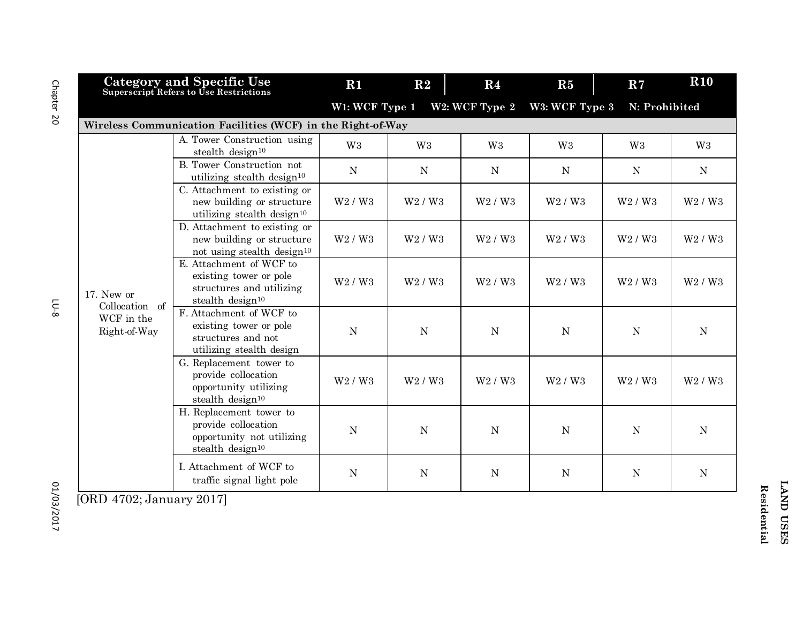|                              | <b>Category and Specific Use</b><br>Superscript Refers to Use Restrictions                                    | R1                              | R2                              | R <sub>4</sub>                  | R5                              | R7                              | $\bf R10$                       |
|------------------------------|---------------------------------------------------------------------------------------------------------------|---------------------------------|---------------------------------|---------------------------------|---------------------------------|---------------------------------|---------------------------------|
|                              |                                                                                                               | W1: WCF Type 1                  |                                 | W2: WCF Type 2                  | W3: WCF Type 3                  | N: Prohibited                   |                                 |
|                              | Wireless Communication Facilities (WCF) in the Right-of-Way                                                   |                                 |                                 |                                 |                                 |                                 |                                 |
|                              | A. Tower Construction using<br>stealth design <sup>10</sup>                                                   | W <sub>3</sub>                  | W <sub>3</sub>                  | W <sub>3</sub>                  | W <sub>3</sub>                  | W <sub>3</sub>                  | W <sub>3</sub>                  |
|                              | B. Tower Construction not<br>utilizing stealth design <sup>10</sup>                                           | N                               | N                               | N                               | $\mathbf N$                     | N                               | N                               |
|                              | C. Attachment to existing or<br>new building or structure<br>utilizing stealth design <sup>10</sup>           | W <sub>2</sub> / W <sub>3</sub> | W <sub>2</sub> / W <sub>3</sub> | W <sub>2</sub> / W <sub>3</sub> | W <sub>2</sub> / W <sub>3</sub> | W <sub>2</sub> / W <sub>3</sub> | W <sub>2</sub> / W <sub>3</sub> |
|                              | D. Attachment to existing or<br>new building or structure<br>not using stealth design <sup>10</sup>           | W <sub>2</sub> / W <sub>3</sub> | W <sub>2</sub> / W <sub>3</sub> | W <sub>2</sub> / W <sub>3</sub> | W2 / W3                         | W2 / W3                         | W <sub>2</sub> / W <sub>3</sub> |
| 17. New or<br>Collocation of | E. Attachment of WCF to<br>existing tower or pole<br>structures and utilizing<br>stealth design <sup>10</sup> | W2 / W3                         | W2 / W3                         | W2 / W3                         | W2 / W3                         | W2 / W3                         | W <sub>2</sub> / W <sub>3</sub> |
| WCF in the<br>Right-of-Way   | F. Attachment of WCF to<br>existing tower or pole<br>structures and not<br>utilizing stealth design           | $\mathbf N$                     | ${\bf N}$                       | ${\bf N}$                       | ${\bf N}$                       | ${\bf N}$                       | $\mathbf N$                     |
|                              | G. Replacement tower to<br>provide collocation<br>opportunity utilizing<br>stealth design <sup>10</sup>       | W <sub>2</sub> / W <sub>3</sub> | W2 / W3                         | W2/V3                           | W2 / W3                         | W2 / W3                         | W2 / W3                         |
|                              | H. Replacement tower to<br>provide collocation<br>opportunity not utilizing<br>stealth design <sup>10</sup>   | ${\bf N}$                       | $\mathbf N$                     | N                               | $\overline{N}$                  | $\overline{N}$                  | $\mathbf N$                     |
| $FODD = 4700$ . I.           | I. Attachment of WCF to<br>traffic signal light pole<br>$0.01 \overline{7}$                                   | ${\bf N}$                       | $\mathbf N$                     | N                               | ${\bf N}$                       | ${\bf N}$                       | ${\bf N}$                       |

[ORD 4702; January 2017]

Chapter 20 Chapter 20

LU-8

01/03/2017 01/03/2017

LAND USES **LAND USES** Residential **Residential**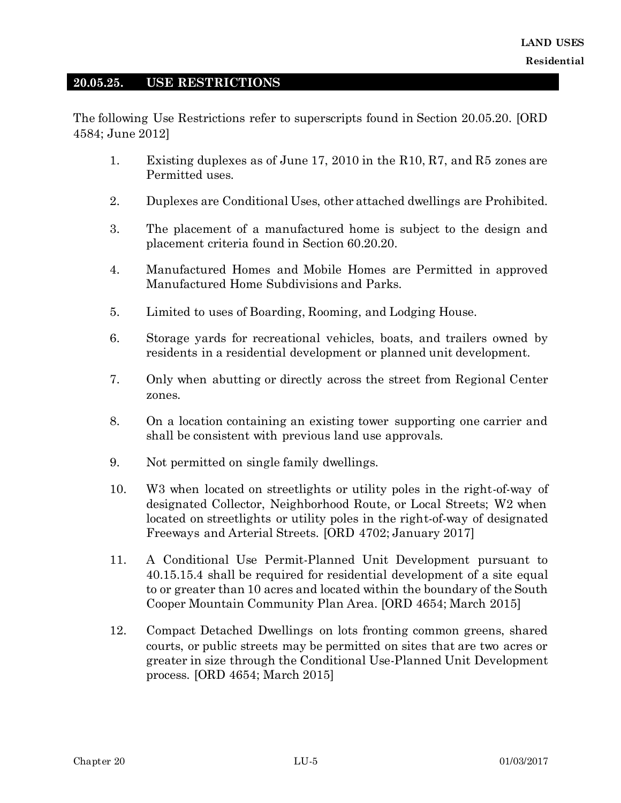### **20.05.25. USE RESTRICTIONS**

The following Use Restrictions refer to superscripts found in Section 20.05.20. [ORD 4584; June 2012]

- 1. Existing duplexes as of June 17, 2010 in the R10, R7, and R5 zones are Permitted uses.
- 2. Duplexes are Conditional Uses, other attached dwellings are Prohibited.
- 3. The placement of a manufactured home is subject to the design and placement criteria found in Section 60.20.20.
- 4. Manufactured Homes and Mobile Homes are Permitted in approved Manufactured Home Subdivisions and Parks.
- 5. Limited to uses of Boarding, Rooming, and Lodging House.
- 6. Storage yards for recreational vehicles, boats, and trailers owned by residents in a residential development or planned unit development.
- 7. Only when abutting or directly across the street from Regional Center zones.
- 8. On a location containing an existing tower supporting one carrier and shall be consistent with previous land use approvals.
- 9. Not permitted on single family dwellings.
- 10. W3 when located on streetlights or utility poles in the right-of-way of designated Collector, Neighborhood Route, or Local Streets; W2 when located on streetlights or utility poles in the right-of-way of designated Freeways and Arterial Streets. [ORD 4702; January 2017]
- 11. A Conditional Use Permit-Planned Unit Development pursuant to 40.15.15.4 shall be required for residential development of a site equal to or greater than 10 acres and located within the boundary of the South Cooper Mountain Community Plan Area. [ORD 4654; March 2015]
- 12. Compact Detached Dwellings on lots fronting common greens, shared courts, or public streets may be permitted on sites that are two acres or greater in size through the Conditional Use-Planned Unit Development process. [ORD 4654; March 2015]